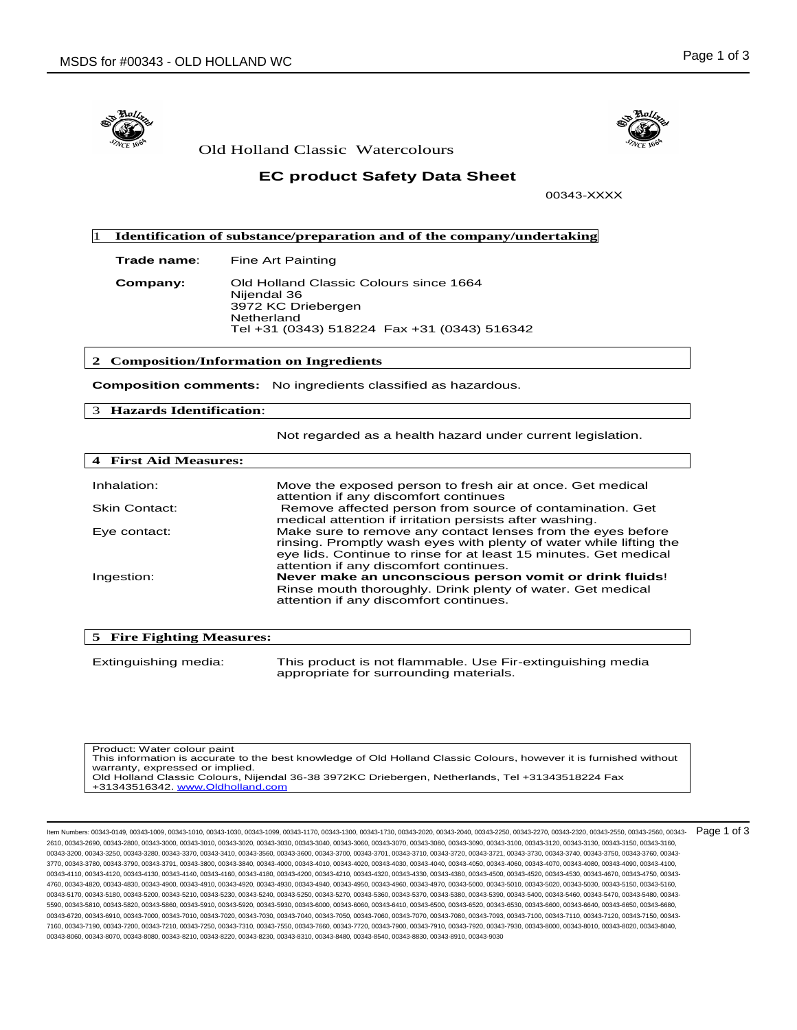

Old Holland Classic Watercolours

# **EC product Safety Data Sheet**

00343-XXXX

 1 **Identification of substance/preparation and of the company/undertaking**

**Trade name:** Fine Art Painting

**Company:** Old Holland Classic Colours since 1664 Nijendal 36 3972 KC Driebergen Netherland Tel +31 (0343) 518224 Fax +31 (0343) 516342

### **2 Composition/Information on Ingredients**

**Composition comments:** No ingredients classified as hazardous.

## 3 **Hazards Identification**:

Not regarded as a health hazard under current legislation.

| <b>4 First Aid Measures:</b> |                                                                                                                                                                                                                                                 |
|------------------------------|-------------------------------------------------------------------------------------------------------------------------------------------------------------------------------------------------------------------------------------------------|
|                              |                                                                                                                                                                                                                                                 |
| Inhalation:                  | Move the exposed person to fresh air at once. Get medical<br>attention if any discomfort continues                                                                                                                                              |
| <b>Skin Contact:</b>         | Remove affected person from source of contamination. Get<br>medical attention if irritation persists after washing.                                                                                                                             |
| Eye contact:                 | Make sure to remove any contact lenses from the eyes before<br>rinsing. Promptly wash eyes with plenty of water while lifting the<br>eye lids. Continue to rinse for at least 15 minutes. Get medical<br>attention if any discomfort continues. |
| Ingestion:                   | Never make an unconscious person vomit or drink fluids!<br>Rinse mouth thoroughly. Drink plenty of water. Get medical<br>attention if any discomfort continues.                                                                                 |

| 5 Fire Fighting Measures: |                                                                                                      |
|---------------------------|------------------------------------------------------------------------------------------------------|
| Extinguishing media:      | This product is not flammable. Use Fir-extinguishing media<br>appropriate for surrounding materials. |

Product: Water colour paint This information is accurate to the best knowledge of Old Holland Classic Colours, however it is furnished without warranty, expressed or implied. .<br>Old Holland Classic Colours, Nijendal 36-38 3972KC Driebergen, Netherlands, Tel +31343518224 Fax<br>+31343516342. <u>www.Oldholland.com</u>

Item Numbers: 00343-0149, 00343-1009, 00343-1010, 00343-1030, 00343-1099, 00343-1170, 00343-1300, 00343-1730, 00343-2020, 00343-2040, 00343-2250, 00343-2270, 00343-2320, 00343-2550, 00343-2560, 00343- 2610, 00343-2690, 00343-2800, 00343-3000, 00343-3010, 00343-3020, 00343-3030, 00343-3040, 00343-3060, 00343-3070, 00343-3080, 00343-3090, 00343-3100, 00343-3120, 00343-3130, 00343-3150, 00343-3160, 00343-3200, 00343-3250, 00343-3250, 00343-3370, 00343-3410, 00343-3560, 00343-3560, 00343-3700, 00343-3701, 00343-3720, 00343-3721, 00343-3730, 00343-3740, 00343-3750, 00343-3760, 00343-3760, 00343-3760, 00343-3760, 00343-3 3770, 00343-3780, 00343-3790, 00343-3791, 00343-3800, 00343-3840, 00343-4000, 00343-4010, 00343-4020, 00343-4030, 00343-4040, 00343-4050, 00343-4060, 00343-4070, 00343-4080, 00343-4090, 00343-4100, 00343-4110, 00343-4120, 00343-4130, 00343-4140, 00343-4160, 00343-4180, 00343-4200, 00343-4210, 00343-4320, 00343-4330, 00343-4380, 00343-4500, 00343-4520, 00343-4530, 00343-4670, 00343-4750, 00343- 4760, 00343-4820, 00343-4830, 00343-4900, 00343-4910, 00343-4920, 00343-4930, 00343-4940, 00343-4950, 00343-4960, 00343-4970, 00343-5000, 00343-5010, 00343-5020, 00343-5030, 00343-5150, 00343-5160, 00343-5170, 00343-5180, 00343-5200, 00343-5210, 00343-5230, 00343-5250, 00343-5270, 00343-5360, 00343-5370, 00343-5380, 00343-5380, 00343-5390, 00343-5400, 00343-5460, 00343-5470, 00343-5480, 00343-5470, 00343-5470, 00343-5 5590, 00343-5810, 00343-5820, 00343-5860, 00343-5910, 00343-5920, 00343-5930, 00343-6000, 00343-6060, 00343-6410, 00343-6500, 00343-6520, 00343-6530, 00343-6600, 00343-6640, 00343-6650, 00343-6680, 00343-6720, 00343-6910, 00343-7000, 00343-7010, 00343-7020, 00343-7030, 00343-7050, 00343-7050, 00343-7070, 00343-7080, 00343-7080, 00343-7093, 00343-7100, 00343-7110, 00343-7120, 00343-7120, 00343-7120, 00343-7120, 00343-7 7160, 00343-7190, 00343-7200, 00343-7210, 00343-7250, 00343-7310, 00343-7550, 00343-7660, 00343-7720, 00343-7900, 00343-7910, 00343-7920, 00343-7930, 00343-8000, 00343-8010, 00343-8020, 00343-8040, 00343-8060, 00343-8070, 00343-8080, 00343-8210, 00343-8220, 00343-8230, 00343-8310, 00343-8480, 00343-8540, 00343-8830, 00343-8910, 00343-9030 Page 1 of 3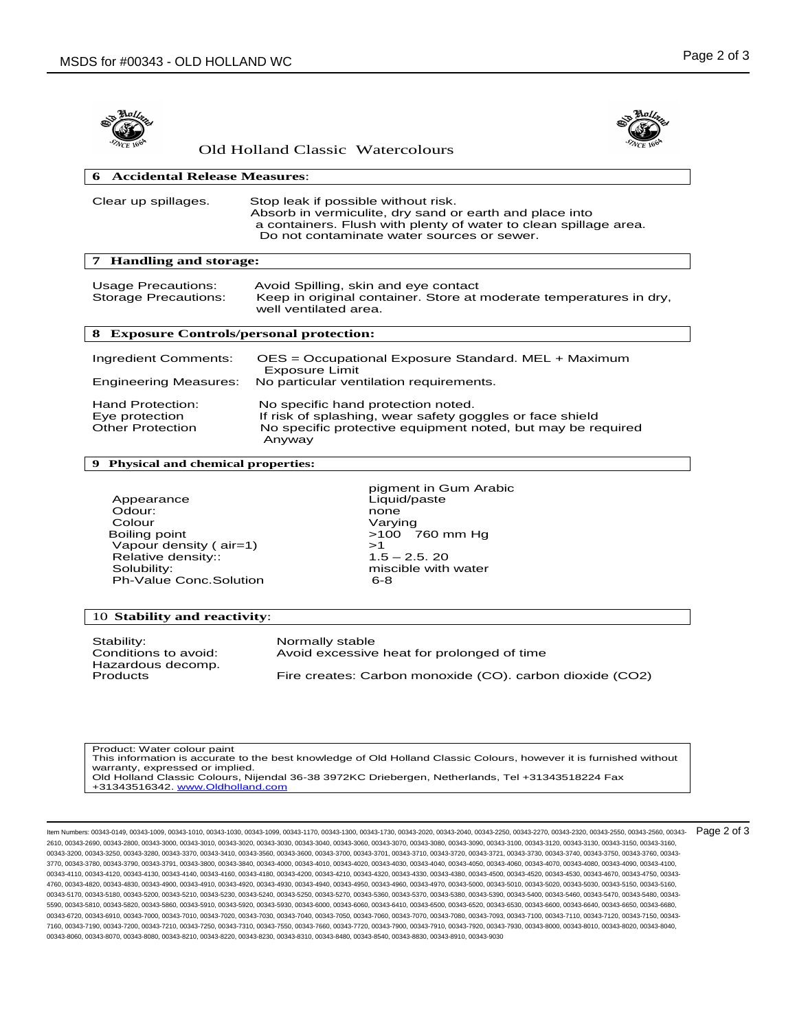



| Old Holland Classic Watercolours |  |
|----------------------------------|--|
|----------------------------------|--|

| <b>Accidental Release Measures:</b>                           |                                                                                                                                                                                                                  |  |
|---------------------------------------------------------------|------------------------------------------------------------------------------------------------------------------------------------------------------------------------------------------------------------------|--|
| Clear up spillages.                                           | Stop leak if possible without risk.<br>Absorb in vermiculite, dry sand or earth and place into<br>a containers. Flush with plenty of water to clean spillage area.<br>Do not contaminate water sources or sewer. |  |
| <b>Handling and storage:</b>                                  |                                                                                                                                                                                                                  |  |
| <b>Usage Precautions:</b><br><b>Storage Precautions:</b>      | Avoid Spilling, skin and eye contact<br>Keep in original container. Store at moderate temperatures in dry,<br>well ventilated area.                                                                              |  |
| <b>Exposure Controls/personal protection:</b><br>8            |                                                                                                                                                                                                                  |  |
| Ingredient Comments:<br><b>Engineering Measures:</b>          | OES = Occupational Exposure Standard. MEL + Maximum<br><b>Exposure Limit</b><br>No particular ventilation requirements.                                                                                          |  |
| Hand Protection:<br>Eye protection<br><b>Other Protection</b> | No specific hand protection noted.<br>If risk of splashing, wear safety goggles or face shield<br>No specific protective equipment noted, but may be required<br>Anyway                                          |  |

#### **9 Physical and chemical properties:**

Appearance Liquid/paste<br>
Odour: none none Odour: none Colour Varying Boiling point >100 760 mm Hg Vapour density (  $air=1$ )  $\rightarrow$  1<br>Relative density::  $1.5 - 2.5$ . 20 Relative density:: Solubility: miscible with water Ph-Value Conc.Solution

pigment in Gum Arabic

#### 10 **Stability and reactivity**:

Stability: <br>Conditions to avoid: <br>Avoid excessive Hazardous decomp.

Avoid excessive heat for prolonged of time

Products Fire creates: Carbon monoxide (CO). carbon dioxide (CO2)

Product: Water colour paint This information is accurate to the best knowledge of Old Holland Classic Colours, however it is furnished without warranty, expressed or implied. .<br>Old Holland Classic Colours, Nijendal 36-38 3972KC Driebergen, Netherlands, Tel +31343518224 Fax<br>+31343516342. <u>www.Oldholland.com</u>

Item Numbers: 00343-0149, 00343-1009, 00343-1010, 00343-1030, 00343-1099, 00343-1170, 00343-1300, 00343-1730, 00343-2020, 00343-2040, 00343-2250, 00343-2270, 00343-2320, 00343-2550, 00343-2560, 00343- 2610, 00343-2690, 00343-2800, 00343-3000, 00343-3010, 00343-3020, 00343-3030, 00343-3040, 00343-3060, 00343-3070, 00343-3080, 00343-3090, 00343-3100, 00343-3120, 00343-3130, 00343-3150, 00343-3160, 00343-3200, 00343-3250, 00343-3260, 00343-3370, 00343-3410, 00343-3560, 00343-3660, 00343-3700, 00343-3700, 00343-3710, 00343-3720, 00343-3721, 00343-3740, 00343-3750, 00343-3760, 00343-3760, 00343-3760, 00343-3760, 00343-3 3770, 00343-3780, 00343-3790, 00343-3791, 00343-3800, 00343-3840, 00343-4000, 00343-4010, 00343-4020, 00343-4030, 00343-4040, 00343-4050, 00343-4060, 00343-4070, 00343-4080, 00343-4090, 00343-4100, 00343-4110, 00343-4120, 00343-4130, 00343-4140, 00343-4160, 00343-4180, 00343-4200, 00343-4210, 00343-4320, 00343-4330, 00343-4380, 00343-4500, 00343-4520, 00343-4530, 00343-4670, 00343-4750, 00343- 4760, 00343-4820, 00343-4830, 00343-4900, 00343-4910, 00343-4920, 00343-4930, 00343-4940, 00343-4950, 00343-4960, 00343-4970, 00343-5000, 00343-5010, 00343-5020, 00343-5030, 00343-5150, 00343-5160, 00343-5170, 00343-5180, 00343-5200, 00343-5210, 00343-5230, 00343-5240, 00343-5270, 00343-5380, 00343-5370, 00343-5380, 00343-5380, 00343-5390, 00343-5460, 00343-5470, 00343-5470, 00343-5470, 00343-5470, 00343-5470, 00343-5 5590, 00343-5810, 00343-5820, 00343-5860, 00343-5910, 00343-5920, 00343-5930, 00343-6000, 00343-6060, 00343-6410, 00343-6500, 00343-6520, 00343-6530, 00343-6600, 00343-6640, 00343-6650, 00343-6680, 00343-6720, 00343-6910, 00343-7000, 00343-7010, 00343-7020, 00343-7030, 00343-7050, 00343-7050, 00343-7070, 00343-7080, 00343-7080, 00343-7093, 00343-7100, 00343-7110, 00343-7120, 00343-7150, 00343-7120, 00343-7150, 00343-7 7160, 00343-7190, 00343-7200, 00343-7210, 00343-7250, 00343-7310, 00343-7550, 00343-7660, 00343-7720, 00343-7900, 00343-7910, 00343-7920, 00343-7930, 00343-8000, 00343-8010, 00343-8020, 00343-8040, 00343-8060, 00343-8070, 00343-8080, 00343-8210, 00343-8220, 00343-8230, 00343-8310, 00343-8480, 00343-8540, 00343-8830, 00343-8910, 00343-9030 Page 2 of 3